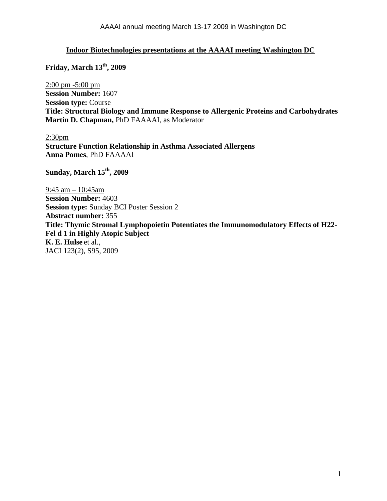## **Indoor Biotechnologies presentations at the AAAAI meeting Washington DC**

**Friday, March 13th, 2009** 

2:00 pm -5:00 pm **Session Number:** 1607 **Session type:** Course **Title: Structural Biology and Immune Response to Allergenic Proteins and Carbohydrates Martin D. Chapman,** PhD FAAAAI, as Moderator

2:30pm **Structure Function Relationship in Asthma Associated Allergens Anna Pomes**, PhD FAAAAI

**Sunday, March 15th, 2009** 

9:45 am – 10:45am **Session Number:** 4603 **Session type:** Sunday BCI Poster Session 2 **Abstract number:** 355 **Title: Thymic Stromal Lymphopoietin Potentiates the Immunomodulatory Effects of H22- Fel d 1 in Highly Atopic Subject K. E. Hulse** et al., JACI 123(2), S95, 2009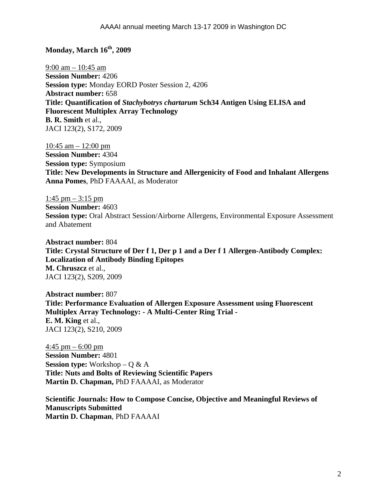## **Monday, March 16<sup>th</sup>, 2009**

9:00 am – 10:45 am **Session Number:** 4206 **Session type:** Monday EORD Poster Session 2, 4206 **Abstract number:** 658 **Title: Quantification of** *Stachybotrys chartarum* **Sch34 Antigen Using ELISA and Fluorescent Multiplex Array Technology B. R. Smith** et al., JACI 123(2), S172, 2009

10:45 am – 12:00 pm **Session Number:** 4304 **Session type:** Symposium **Title: New Developments in Structure and Allergenicity of Food and Inhalant Allergens Anna Pomes**, PhD FAAAAI, as Moderator

1:45 pm  $-$  3:15 pm **Session Number:** 4603 **Session type:** Oral Abstract Session/Airborne Allergens, Environmental Exposure Assessment and Abatement

**Abstract number:** 804 **Title: Crystal Structure of Der f 1, Der p 1 and a Der f 1 Allergen-Antibody Complex: Localization of Antibody Binding Epitopes M. Chruszcz** et al., JACI 123(2), S209, 2009

**Abstract number:** 807 **Title: Performance Evaluation of Allergen Exposure Assessment using Fluorescent Multiplex Array Technology: - A Multi-Center Ring Trial - E. M. King** et al., JACI 123(2), S210, 2009

 $4:45$  pm – 6:00 pm **Session Number:** 4801 **Session type:** Workshop – Q & A **Title: Nuts and Bolts of Reviewing Scientific Papers Martin D. Chapman,** PhD FAAAAI, as Moderator

**Scientific Journals: How to Compose Concise, Objective and Meaningful Reviews of Manuscripts Submitted Martin D. Chapman**, PhD FAAAAI